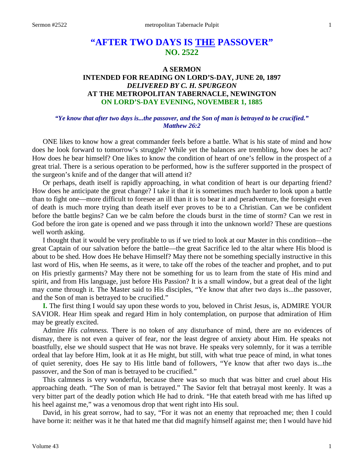# **"AFTER TWO DAYS IS THE PASSOVER" NO. 2522**

## **A SERMON INTENDED FOR READING ON LORD'S-DAY, JUNE 20, 1897** *DELIVERED BY C. H. SPURGEON* **AT THE METROPOLITAN TABERNACLE, NEWINGTON ON LORD'S-DAY EVENING, NOVEMBER 1, 1885**

## *"Ye know that after two days is...the passover, and the Son of man is betrayed to be crucified." Matthew 26:2*

ONE likes to know how a great commander feels before a battle. What is his state of mind and how does he look forward to tomorrow's struggle? While yet the balances are trembling, how does he act? How does he bear himself? One likes to know the condition of heart of one's fellow in the prospect of a great trial. There is a serious operation to be performed, how is the sufferer supported in the prospect of the surgeon's knife and of the danger that will attend it?

Or perhaps, death itself is rapidly approaching, in what condition of heart is our departing friend? How does he anticipate the great change? I take it that it is sometimes much harder to look upon a battle than to fight one—more difficult to foresee an ill than it is to bear it and peradventure, the foresight even of death is much more trying than death itself ever proves to be to a Christian. Can we be confident before the battle begins? Can we be calm before the clouds burst in the time of storm? Can we rest in God before the iron gate is opened and we pass through it into the unknown world? These are questions well worth asking.

I thought that it would be very profitable to us if we tried to look at our Master in this condition—the great Captain of our salvation before the battle—the great Sacrifice led to the altar where His blood is about to be shed. How does He behave Himself? May there not be something specially instructive in this last word of His, when He seems, as it were, to take off the robes of the teacher and prophet, and to put on His priestly garments? May there not be something for us to learn from the state of His mind and spirit, and from His language, just before His Passion? It is a small window, but a great deal of the light may come through it. The Master said to His disciples, "Ye know that after two days is...the passover, and the Son of man is betrayed to be crucified."

**I.** The first thing I would say upon these words to you, beloved in Christ Jesus, is, ADMIRE YOUR SAVIOR. Hear Him speak and regard Him in holy contemplation, on purpose that admiration of Him may be greatly excited.

Admire *His calmness.* There is no token of any disturbance of mind, there are no evidences of dismay, there is not even a quiver of fear, nor the least degree of anxiety about Him. He speaks not boastfully, else we should suspect that He was not brave. He speaks very solemnly, for it was a terrible ordeal that lay before Him, look at it as He might, but still, with what true peace of mind, in what tones of quiet serenity, does He say to His little band of followers, "Ye know that after two days is...the passover, and the Son of man is betrayed to be crucified."

This calmness is very wonderful, because there was so much that was bitter and cruel about His approaching death. "The Son of man is betrayed." The Savior felt that betrayal most keenly. It was a very bitter part of the deadly potion which He had to drink. "He that eateth bread with me has lifted up his heel against me," was a venomous drop that went right into His soul.

David, in his great sorrow, had to say, "For it was not an enemy that reproached me; then I could have borne it: neither was it he that hated me that did magnify himself against me; then I would have hid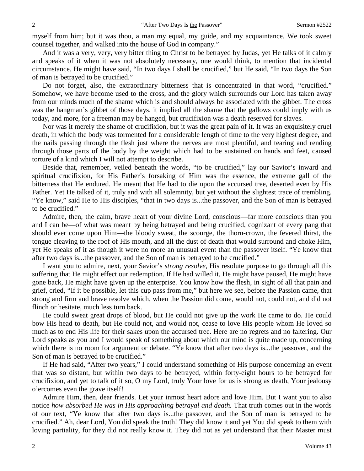myself from him; but it was thou, a man my equal, my guide, and my acquaintance. We took sweet counsel together, and walked into the house of God in company."

And it was a very, very, very bitter thing to Christ to be betrayed by Judas, yet He talks of it calmly and speaks of it when it was not absolutely necessary, one would think, to mention that incidental circumstance. He might have said, "In two days I shall be crucified," but He said, "In two days the Son of man is betrayed to be crucified."

Do not forget, also, the extraordinary bitterness that is concentrated in that word, "crucified." Somehow, we have become used to the cross, and the glory which surrounds our Lord has taken away from our minds much of the shame which is and should always be associated with the gibbet. The cross was the hangman's gibbet of those days, it implied all the shame that the gallows could imply with us today, and more, for a freeman may be hanged, but crucifixion was a death reserved for slaves.

Nor was it merely the shame of crucifixion, but it was the great pain of it. It was an exquisitely cruel death, in which the body was tormented for a considerable length of time to the very highest degree, and the nails passing through the flesh just where the nerves are most plentiful, and tearing and rending through those parts of the body by the weight which had to be sustained on hands and feet, caused torture of a kind which I will not attempt to describe.

Beside that, remember, veiled beneath the words, "to be crucified," lay our Savior's inward and spiritual crucifixion, for His Father's forsaking of Him was the essence, the extreme gall of the bitterness that He endured. He meant that He had to die upon the accursed tree, deserted even by His Father. Yet He talked of it, truly and with all solemnity, but yet without the slightest trace of trembling. "Ye know," said He to His disciples, "that in two days is...the passover, and the Son of man is betrayed to be crucified."

Admire, then, the calm, brave heart of your divine Lord, conscious—far more conscious than you and I can be—of what was meant by being betrayed and being crucified, cognizant of every pang that should ever come upon Him—the bloody sweat, the scourge, the thorn-crown, the fevered thirst, the tongue cleaving to the roof of His mouth, and all the dust of death that would surround and choke Him, yet He speaks of it as though it were no more an unusual event than the passover itself. "Ye know that after two days is...the passover, and the Son of man is betrayed to be crucified."

I want you to admire, next, your Savior's *strong resolve,* His resolute purpose to go through all this suffering that He might effect our redemption. If He had willed it, He might have paused, He might have gone back, He might have given up the enterprise. You know how the flesh, in sight of all that pain and grief, cried, "If it be possible, let this cup pass from me," but here we see, before the Passion came, that strong and firm and brave resolve which, when the Passion did come, would not, could not, and did not flinch or hesitate, much less turn back.

He could sweat great drops of blood, but He could not give up the work He came to do. He could bow His head to death, but He could not, and would not, cease to love His people whom He loved so much as to end His life for their sakes upon the accursed tree. Here are no regrets and no faltering. Our Lord speaks as you and I would speak of something about which our mind is quite made up, concerning which there is no room for argument or debate. "Ye know that after two days is...the passover, and the Son of man is betrayed to be crucified."

If He had said, "After two years," I could understand something of His purpose concerning an event that was so distant, but within two days to be betrayed, within forty-eight hours to be betrayed for crucifixion, and yet to talk of it so, O my Lord, truly Your love for us is strong as death, Your jealousy o'ercomes even the grave itself!

Admire Him, then, dear friends. Let your inmost heart adore and love Him. But I want you to also notice *how absorbed He was in His approaching betrayal and death.* That truth comes out in the words of our text, "Ye know that after two days is...the passover, and the Son of man is betrayed to be crucified." Ah, dear Lord, You did speak the truth! They did know it and yet You did speak to them with loving partiality, for they did not really know it. They did not as yet understand that their Master must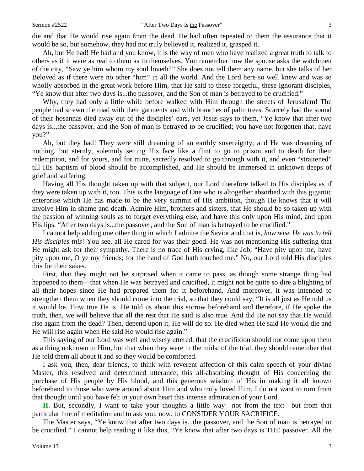Ah, but He had! He had and you know, it is the way of men who have realized a great truth to talk to others as if it were as real to them as to themselves. You remember how the spouse asks the watchmen of the city, "Saw ye him whom my soul loveth?" She does not tell them any name, but she talks of her Beloved as if there were no other "him" in all the world. And the Lord here so well knew and was so wholly absorbed in the great work before Him, that He said to these forgetful, these ignorant disciples, "Ye know that after two days is...the passover, and the Son of man is betrayed to be crucified."

Why, they had only a little while before walked with Him through the streets of Jerusalem! The people had strewn the road with their garments and with branches of palm trees. Scarcely had the sound of their hosannas died away out of the disciples' ears, yet Jesus says to them, "Ye know that after two days is...the passover, and the Son of man is betrayed to be crucified; you have not forgotten that, have you?"

Ah, but they had! They were still dreaming of an earthly sovereignty, and He was dreaming of nothing, but sternly, solemnly setting His face like a flint to go to prison and to death for their redemption, and for yours, and for mine, sacredly resolved to go through with it, and even "straitened" till His baptism of blood should be accomplished, and He should be immersed in unknown deeps of grief and suffering.

Having all His thought taken up with that subject, our Lord therefore talked to His disciples as if they were taken up with it, too. This is the language of One who is altogether absorbed with this gigantic enterprise which He has made to be the very summit of His ambition, though He knows that it will involve Him in shame and death. Admire Him, brothers and sisters, that He should be so taken up with the passion of winning souls as to forget everything else, and have this only upon His mind, and upon His lips, "After two days is...the passover, and the Son of man is betrayed to be crucified."

I cannot help adding one other thing in which I admire the Savior and that is, *how wise He was to tell His disciples this*! You see, all He cared for was their good. He was not mentioning His suffering that He might ask for their sympathy. There is no trace of His crying, like Job, "Have pity upon me, have pity upon me, O ye my friends; for the hand of God hath touched me." No, our Lord told His disciples this for their sakes.

First, that they might not be surprised when it came to pass, as though some strange thing had happened to them—that when He was betrayed and crucified, it might not be quite so dire a blighting of all their hopes since He had prepared them for it beforehand. And moreover, it was intended to strengthen them when they should come into the trial, so that they could say, "It is all just as He told us it would be. How true He is! He told us about this sorrow beforehand and therefore, if He spoke the truth, then, we will believe that all the rest that He said is also true. And did He not say that He would rise again from the dead? Then, depend upon it, He will do so. He died when He said He would die and He will rise again when He said He would rise again."

This saying of our Lord was well and wisely uttered, that the crucifixion should not come upon them as a thing unknown to Him, but that when they were in the midst of the trial, they should remember that He told them all about it and so they would be comforted.

I ask you, then, dear friends, to think with reverent affection of this calm speech of your divine Master, this resolved and determined utterance, this all-absorbing thought of His concerning the purchase of His people by His blood, and this generous wisdom of His in making it all known beforehand to those who were around about Him and who truly loved Him. I do not want to turn from that thought until you have felt in your own heart this intense admiration of your Lord.

**II.** But, secondly, I want to take your thoughts a little way—not from the text—but from that particular line of meditation and to ask you, now, to CONSIDER YOUR SACRIFICE.

The Master says, "Ye know that after two days is...the passover, and the Son of man is betrayed to be crucified." I cannot help reading it like this, "Ye know that after two days is THE passover. All the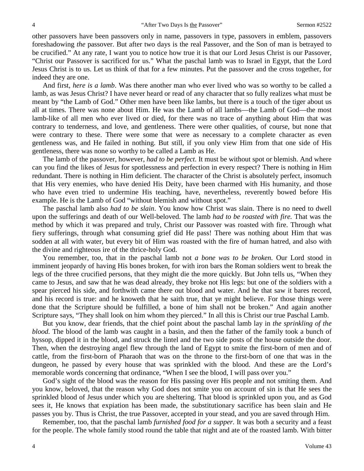other passovers have been passovers only in name, passovers in type, passovers in emblem, passovers foreshadowing *the* passover. But after two days is the real Passover, and the Son of man is betrayed to be crucified." At any rate, I want you to notice how true it is that our Lord Jesus Christ is our Passover, "Christ our Passover is sacrificed for us." What the paschal lamb was to Israel in Egypt, that the Lord Jesus Christ is to us. Let us think of that for a few minutes. Put the passover and the cross together, for indeed they are one.

And first, *here is a lamb*. Was there another man who ever lived who was so worthy to be called a lamb, as was Jesus Christ? I have never heard or read of any character that so fully realizes what must be meant by "the Lamb of God." Other men have been like lambs, but there is a touch of the tiger about us all at times. There was none about Him. He was the Lamb of all lambs—the Lamb of God—the most lamb-like of all men who ever lived or died, for there was no trace of anything about Him that was contrary to tenderness, and love, and gentleness. There were other qualities, of course, but none that were contrary to these. There were some that were as necessary to a complete character as even gentleness was, and He failed in nothing. But still, if you only view Him from that one side of His gentleness, there was none so worthy to be called a Lamb as He.

The lamb of the passover, however, *had to be perfect*. It must be without spot or blemish. And where can you find the likes of Jesus for spotlessness and perfection in every respect? There is nothing in Him redundant. There is nothing in Him deficient. The character of the Christ is absolutely perfect, insomuch that His very enemies, who have denied His Deity, have been charmed with His humanity, and those who have even tried to undermine His teaching, have, nevertheless, reverently bowed before His example. He is the Lamb of God "without blemish and without spot."

The paschal lamb also *had to be slain*. You know how Christ was slain. There is no need to dwell upon the sufferings and death of our Well-beloved. The lamb *had to be roasted with fire.* That was the method by which it was prepared and truly, Christ our Passover was roasted with fire. Through what fiery sufferings, through what consuming grief did He pass! There was nothing about Him that was sodden at all with water, but every bit of Him was roasted with the fire of human hatred, and also with the divine and righteous ire of the thrice-holy God.

You remember, too, that in the paschal lamb not *a bone was to be broken.* Our Lord stood in imminent jeopardy of having His bones broken, for with iron bars the Roman soldiers went to break the legs of the three crucified persons, that they might die the more quickly. But John tells us, "When they came to Jesus, and saw that he was dead already, they broke not His legs: but one of the soldiers with a spear pierced his side, and forthwith came there out blood and water. And he that saw it bares record, and his record is true: and he knoweth that he saith true, that ye might believe. For those things were done that the Scripture should be fulfilled, a bone of him shall not be broken." And again another Scripture says, "They shall look on him whom they pierced." In all this is Christ our true Paschal Lamb.

But you know, dear friends, that the chief point about the paschal lamb lay in *the sprinkling of the blood.* The blood of the lamb was caught in a basin, and then the father of the family took a bunch of hyssop, dipped it in the blood, and struck the lintel and the two side posts of the house outside the door. Then, when the destroying angel flew through the land of Egypt to smite the first-born of men and of cattle, from the first-born of Pharaoh that was on the throne to the first-born of one that was in the dungeon, he passed by every house that was sprinkled with the blood. And these are the Lord's memorable words concerning that ordinance, "When I see the blood, I will pass over you."

God's sight of the blood was the reason for His passing over His people and not smiting them. And you know, beloved, that the reason why God does not smite you on account of sin is that He sees the sprinkled blood of Jesus under which you are sheltering. That blood is sprinkled upon you, and as God sees it, He knows that expiation has been made, the substitutionary sacrifice has been slain and He passes you by. Thus is Christ, the true Passover, accepted in your stead, and you are saved through Him.

Remember, too, that the paschal lamb *furnished food for a supper.* It was both a security and a feast for the people. The whole family stood round the table that night and ate of the roasted lamb. With bitter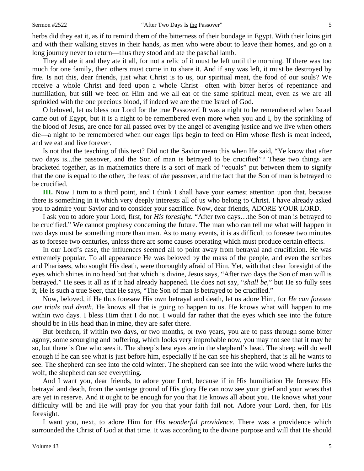herbs did they eat it, as if to remind them of the bitterness of their bondage in Egypt. With their loins girt and with their walking staves in their hands, as men who were about to leave their homes, and go on a long journey never to return—thus they stood and ate the paschal lamb.

They all ate it and they ate it all, for not a relic of it must be left until the morning. If there was too much for one family, then others must come in to share it. And if any was left, it must be destroyed by fire. Is not this, dear friends, just what Christ is to us, our spiritual meat, the food of our souls? We receive a whole Christ and feed upon a whole Christ—often with bitter herbs of repentance and humiliation, but still we feed on Him and we all eat of the same spiritual meat, even as we are all sprinkled with the one precious blood, if indeed we are the true Israel of God.

O beloved, let us bless our Lord for the true Passover! It was a night to be remembered when Israel came out of Egypt, but it is a night to be remembered even more when you and I, by the sprinkling of the blood of Jesus, are once for all passed over by the angel of avenging justice and we live when others die—a night to be remembered when our eager lips begin to feed on Him whose flesh is meat indeed, and we eat and live forever.

Is not that the teaching of this text? Did not the Savior mean this when He said, "Ye know that after two days is...the passover, and the Son of man is betrayed to be crucified"? These two things are bracketed together, as in mathematics there is a sort of mark of "equals" put between them to signify that the one is equal to the other, the feast of *the* passover, and the fact that the Son of man is betrayed to be crucified.

**III.** Now I turn to a third point, and I think I shall have your earnest attention upon that, because there is something in it which very deeply interests all of us who belong to Christ. I have already asked you to admire your Savior and to consider your sacrifice. Now, dear friends, ADORE YOUR LORD.

I ask you to adore your Lord, first, for *His foresight.* "After two days…the Son of man is betrayed to be crucified." We cannot prophesy concerning the future. The man who can tell me what will happen in two days must be something more than man. As to many events, it is as difficult to foresee two minutes as to foresee two centuries, unless there are some causes operating which must produce certain effects.

In our Lord's case, the influences seemed all to point away from betrayal and crucifixion. He was extremely popular. To all appearance He was beloved by the mass of the people, and even the scribes and Pharisees, who sought His death, were thoroughly afraid of Him. Yet, with that clear foresight of the eyes which shines in no head but that which is divine, Jesus says, "After two days the Son of man will is betrayed." He sees it all as if it had already happened. He does not say, "*shall be,*" but He so fully sees it, He is such a true Seer, that He says, "The Son of man *is* betrayed to be crucified."

Now, beloved, if He thus foresaw His own betrayal and death, let us adore Him, for *He can foresee our trials and death.* He knows all that is going to happen to us. He knows what will happen to me within two days. I bless Him that I do not. I would far rather that the eyes which see into the future should be in His head than in mine, they are safer there.

But brethren, if within two days, or two months, or two years, you are to pass through some bitter agony, some scourging and buffering, which looks very improbable now, you may not see that it may be so, but there is One who sees it. The sheep's best eyes are in the shepherd's head. The sheep will do well enough if he can see what is just before him, especially if he can see his shepherd, that is all he wants to see. The shepherd can see into the cold winter. The shepherd can see into the wild wood where lurks the wolf, the shepherd can see everything.

And I want you, dear friends, to adore your Lord, because if in His humiliation He foresaw His betrayal and death, from the vantage ground of His glory He can now see your grief and your woes that are yet in reserve. And it ought to be enough for you that He knows all about you. He knows what your difficulty will be and He will pray for you that your faith fail not. Adore your Lord, then, for His foresight.

I want you, next, to adore Him for *His wonderful providence.* There was a providence which surrounded the Christ of God at that time. It was according to the divine purpose and will that He should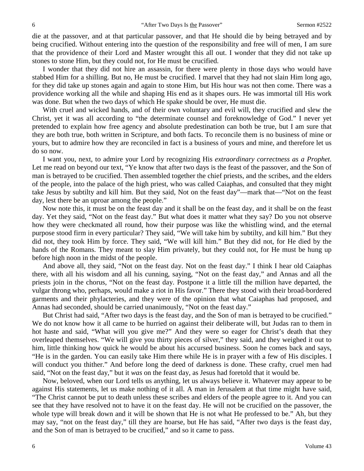die at the passover, and at that particular passover, and that He should die by being betrayed and by being crucified. Without entering into the question of the responsibility and free will of men, I am sure that the providence of their Lord and Master wrought this all out. I wonder that they did not take up stones to stone Him, but they could not, for He must be crucified.

I wonder that they did not hire an assassin, for there were plenty in those days who would have stabbed Him for a shilling. But no, He must be crucified. I marvel that they had not slain Him long ago, for they did take up stones again and again to stone Him, but His hour was not then come. There was a providence working all the while and shaping His end as it shapes ours. He was immortal till His work was done. But when the two days of which He spake should be over, He must die.

With cruel and wicked hands, and of their own voluntary and evil will, they crucified and slew the Christ, yet it was all according to "the determinate counsel and foreknowledge of God." I never yet pretended to explain how free agency and absolute predestination can both be true, but I am sure that they are both true, both written in Scripture, and both facts. To reconcile them is no business of mine or yours, but to admire how they are reconciled in fact is a business of yours and mine, and therefore let us do so now.

I want you, next, to admire your Lord by recognizing His *extraordinary correctness as a Prophet.*  Let me read on beyond our text, "Ye know that after two days is the feast of the passover, and the Son of man is betrayed to be crucified. Then assembled together the chief priests, and the scribes, and the elders of the people, into the palace of the high priest, who was called Caiaphas, and consulted that they might take Jesus by subtilty and kill him. But they said, Not on the feast day"—mark that—"Not on the feast day, lest there be an uproar among the people."

Now note this, it must be on the feast day and it shall be on the feast day, and it shall be on the feast day. Yet they said, "Not on the feast day." But what does it matter what they say? Do you not observe how they were checkmated all round, how their purpose was like the whistling wind, and the eternal purpose stood firm in every particular? They said, "We will take him by subtilty, and kill him." But they did not, they took Him by force. They said, "We will kill him." But they did not, for He died by the hands of the Romans. They meant to slay Him privately, but they could not, for He must be hung up before high noon in the midst of the people.

And above all, they said, "Not on the feast day. Not on the feast day." I think I hear old Caiaphas there, with all his wisdom and all his cunning, saying, "Not on the feast day," and Annas and all the priests join in the chorus, "Not on the feast day. Postpone it a little till the million have departed, the vulgar throng who, perhaps, would make a riot in His favor." There they stood with their broad-bordered garments and their phylacteries, and they were of the opinion that what Caiaphas had proposed, and Annas had seconded, should be carried unanimously, "Not on the feast day."

But Christ had said, "After two days is the feast day, and the Son of man is betrayed to be crucified." We do not know how it all came to be hurried on against their deliberate will, but Judas ran to them in hot haste and said, "What will you give me?" And they were so eager for Christ's death that they overleaped themselves. "We will give you thirty pieces of silver," they said, and they weighed it out to him, little thinking how quick he would be about his accursed business. Soon he comes back and says, "He is in the garden. You can easily take Him there while He is in prayer with a few of His disciples. I will conduct you thither." And before long the deed of darkness is done. These crafty, cruel men had said, "Not on the feast day," but it *was* on the feast day, as Jesus had foretold that it would be.

Now, beloved, when our Lord tells us anything, let us always believe it. Whatever may appear to be against His statements, let us make nothing of it all. A man in Jerusalem at that time might have said, "The Christ cannot be put to death unless these scribes and elders of the people agree to it. And you can see that they have resolved not to have it on the feast day. He will not be crucified on the passover, the whole type will break down and it will be shown that He is not what He professed to be." Ah, but they may say, "not on the feast day," till they are hoarse, but He has said, "After two days is the feast day, and the Son of man is betrayed to be crucified," and so it came to pass.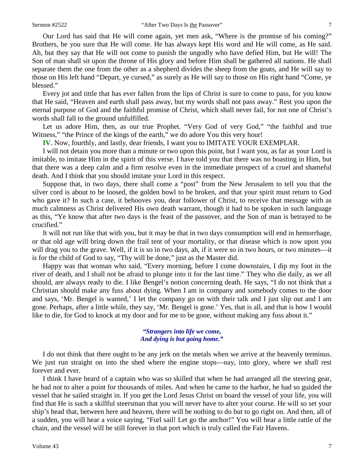Our Lord has said that He will come again, yet men ask, "Where is the promise of his coming?" Brothers, be you sure that He will come. He has always kept His word and He will come, as He said. Ah, but they say that He will not come to punish the ungodly who have defied Him, but He will! The Son of man shall sit upon the throne of His glory and before Him shall be gathered all nations. He shall separate them the one from the other as a shepherd divides the sheep from the goats, and He will say to those on His left hand "Depart, ye cursed," as surely as He will say to those on His right hand "Come, ye blessed."

Every jot and tittle that has ever fallen from the lips of Christ is sure to come to pass, for you know that He said, "Heaven and earth shall pass away, but my words shall not pass away." Rest you upon the eternal purpose of God and the faithful promise of Christ, which shall never fail, for not one of Christ's words shall fall to the ground unfulfilled.

Let us adore Him, then, as our true Prophet. "Very God of very God," "the faithful and true Witness," "the Prince of the kings of the earth," we do adore You this very hour!

**IV.** Now, fourthly, and lastly, dear friends, I want you to IMITATE YOUR EXEMPLAR.

I will not detain you more than a minute or two upon this point, but I want you, as far as your Lord is imitable, to imitate Him in the spirit of this verse. I have told you that there was no boasting in Him, but that there was a deep calm and a firm resolve even in the immediate prospect of a cruel and shameful death. And I think that you should imitate your Lord in this respect.

Suppose that, in two days, there shall come a "post" from the New Jerusalem to tell you that the silver cord is about to be loosed, the golden bowl to be broken, and that your spirit must return to God who gave it? In such a case, it behooves you, dear follower of Christ, to receive that message with as much calmness as Christ delivered His own death warrant, though it had to be spoken in such language as this, "Ye know that after two days is the feast of the passover, and the Son of man is betrayed to be crucified."

It will not run like that with you, but it may be that in two days consumption will end in hemorrhage, or that old age will bring down the frail tent of your mortality, or that disease which is now upon you will drag you to the grave. Well, if it is so in two days, ah, if it were so in two hours, or two minutes—it is for the child of God to say, "Thy will be done," just as the Master did.

Happy was that woman who said, "Every morning, before I come downstairs, I dip my foot in the river of death, and I shall not be afraid to plunge into it for the last time." They who die daily, as we all should, are always ready to die. I like Bengel's notion concerning death. He says, "I do not think that a Christian should make any fuss about dying. When I am in company and somebody comes to the door and says, 'Mr. Bengel is wanted,' I let the company go on with their talk and I just slip out and I am gone. Perhaps, after a little while, they say, 'Mr. Bengel is gone.' Yes, that is all, and that is how I would like to die, for God to knock at my door and for me to be gone, without making any fuss about it."

## *"Strangers into life we come, And dying is but going home."*

I do not think that there ought to be any jerk on the metals when we arrive at the heavenly terminus. We just run straight on into the shed where the engine stops—nay, into glory, where we shall rest forever and ever.

I think I have heard of a captain who was so skilled that when he had arranged all the steering gear, he had not to alter a point for thousands of miles. And when he came to the harbor, he had so guided the vessel that he sailed straight in. If you get the Lord Jesus Christ on board the vessel of your life, you will find that He is such a skillful steersman that you will never have to alter your course. He will so set your ship's head that, between here and heaven, there will be nothing to do but to go right on. And then, all of a sudden, you will hear a voice saying, "Furl sail! Let go the anchor!" You will hear a little rattle of the chain, and the vessel will be still forever in that port which is truly called the Fair Havens.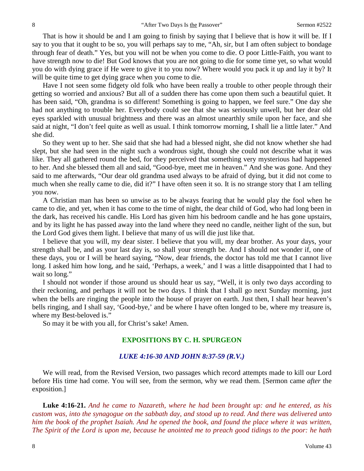That is how it should be and I am going to finish by saying that I believe that is how it will be. If I say to you that it ought to be so, you will perhaps say to me, "Ah, sir, but I am often subject to bondage through fear of death." Yes, but you will not be when you come to die. O poor Little-Faith, you want to have strength now to die! But God knows that you are not going to die for some time yet, so what would you do with dying grace if He were to give it to you now? Where would you pack it up and lay it by? It will be quite time to get dying grace when you come to die.

Have I not seen some fidgety old folk who have been really a trouble to other people through their getting so worried and anxious? But all of a sudden there has come upon them such a beautiful quiet. It has been said, "Oh, grandma is so different! Something is going to happen, we feel sure." One day she had not anything to trouble her. Everybody could see that she was seriously unwell, but her dear old eyes sparkled with unusual brightness and there was an almost unearthly smile upon her face, and she said at night, "I don't feel quite as well as usual. I think tomorrow morning, I shall lie a little later." And she did.

So they went up to her. She said that she had had a blessed night, she did not know whether she had slept, but she had seen in the night such a wondrous sight, though she could not describe what it was like. They all gathered round the bed, for they perceived that something very mysterious had happened to her. And she blessed them all and said, "Good-bye, meet me in heaven." And she was gone. And they said to me afterwards, "Our dear old grandma used always to be afraid of dying, but it did not come to much when she really came to die, did it?" I have often seen it so. It is no strange story that I am telling you now.

A Christian man has been so unwise as to be always fearing that he would play the fool when he came to die, and yet, when it has come to the time of night, the dear child of God, who had long been in the dark, has received his candle. His Lord has given him his bedroom candle and he has gone upstairs, and by its light he has passed away into the land where they need no candle, neither light of the sun, but the Lord God gives them light. I believe that many of us will die just like that.

I believe that you will, my dear sister. I believe that you will, my dear brother. As your days, your strength shall be, and as your last day is, so shall your strength be. And I should not wonder if, one of these days, you or I will be heard saying, "Now, dear friends, the doctor has told me that I cannot live long. I asked him how long, and he said, 'Perhaps, a week,' and I was a little disappointed that I had to wait so long."

I should not wonder if those around us should hear us say, "Well, it is only two days according to their reckoning, and perhaps it will not be two days. I think that I shall go next Sunday morning, just when the bells are ringing the people into the house of prayer on earth. Just then, I shall hear heaven's bells ringing, and I shall say, 'Good-bye,' and be where I have often longed to be, where my treasure is, where my Best-beloved is."

So may it be with you all, for Christ's sake! Amen.

#### **EXPOSITIONS BY C. H. SPURGEON**

#### *LUKE 4:16-30 AND JOHN 8:37-59 (R.V.)*

We will read, from the Revised Version, two passages which record attempts made to kill our Lord before His time had come. You will see, from the sermon, why we read them. [Sermon came *after* the exposition.]

**Luke 4:16-21.** *And he came to Nazareth, where he had been brought up: and he entered, as his custom was, into the synagogue on the sabbath day, and stood up to read. And there was delivered unto him the book of the prophet Isaiah. And he opened the book, and found the place where it was written, The Spirit of the Lord is upon me, because he anointed me to preach good tidings to the poor: he hath*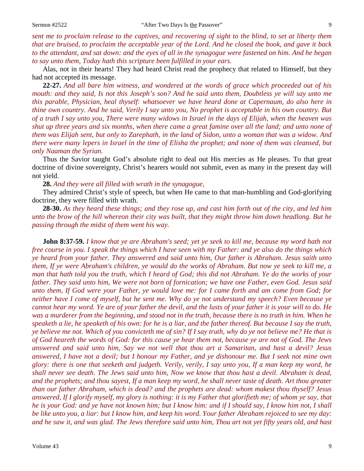*sent me to proclaim release to the captives, and recovering of sight to the blind, to set at liberty them that are bruised, to proclaim the acceptable year of the Lord. And he closed the book, and gave it back to the attendant, and sat down: and the eyes of all in the synagogue were fastened on him. And he began to say unto them, Today hath this scripture been fulfilled in your ears.*

Alas, not in their hearts! They had heard Christ read the prophecy that related to Himself, but they had not accepted its message.

**22-27.** *And all bare him witness, and wondered at the words of grace which proceeded out of his mouth: and they said, Is not this Joseph's son? And he said unto them, Doubtless ye will say unto me this parable, Physician, heal thyself: whatsoever we have heard done at Capernaum, do also here in thine own country. And he said, Verily I say unto you, No prophet is acceptable in his own country. But of a truth I say unto you, There were many widows in Israel in the days of Elijah, when the heaven was shut up three years and six months, when there came a great famine over all the land; and unto none of them was Elijah sent, but only to Zarephath, in the land of Sidon, unto a woman that was a widow. And there were many lepers in Israel in the time of Elisha the prophet; and none of them was cleansed, but only Naaman the Syrian.*

Thus the Savior taught God's absolute right to deal out His mercies as He pleases. To that great doctrine of divine sovereignty, Christ's hearers would not submit, even as many in the present day will not yield.

**28.** *And they were all filled with wrath in the synagogue,*

They admired Christ's style of speech, but when He came to that man-humbling and God-glorifying doctrine, they were filled with wrath.

**28-30.** *As they heard these things; and they rose up, and cast him forth out of the city, and led him unto the brow of the hill whereon their city was built, that they might throw him down headlong. But he passing through the midst of them went his way.*

**John 8:37-59.** *I know that ye are Abraham's seed; yet ye seek to kill me, because my word hath not free course in you. I speak the things which I have seen with my Father: and ye also do the things which ye heard from your father. They answered and said unto him, Our father is Abraham. Jesus saith unto them, If ye were Abraham's children, ye would do the works of Abraham. But now ye seek to kill me, a man that hath told you the truth, which I heard of God; this did not Abraham. Ye do the works of your father. They said unto him, We were not born of fornication; we have one Father, even God. Jesus said unto them, If God were your Father, ye would love me: for I came forth and am come from God; for neither have I come of myself, but he sent me. Why do ye not understand my speech? Even because ye cannot hear my word. Ye are of your father the devil, and the lusts of your father it is your will to do. He was a murderer from the beginning, and stood not in the truth, because there is no truth in him. When he speaketh a lie, he speaketh of his own: for he is a liar, and the father thereof. But because I say the truth, ye believe me not. Which of you convicteth me of sin? If I say truth, why do ye not believe me? He that is of God heareth the words of God: for this cause ye hear them not, because ye are not of God. The Jews answered and said unto him, Say we not well that thou art a Samaritan, and hast a devil? Jesus answered, I have not a devil; but I honour my Father, and ye dishonour me. But I seek not mine own glory: there is one that seeketh and judgeth. Verily, verily, I say unto you, If a man keep my word, he shall never see death. The Jews said unto him, Now we know that thou hast a devil. Abraham is dead, and the prophets; and thou sayest, If a man keep my word, he shall never taste of death. Art thou greater than our father Abraham, which is dead? and the prophets are dead: whom makest thou thyself? Jesus answered, If I glorify myself, my glory is nothing: it is my Father that glorifieth me; of whom ye say, that he is your God: and ye have not known him; but I know him: and if I should say, I know him not, I shall be like unto you, a liar: but I know him, and keep his word. Your father Abraham rejoiced to see my day: and he saw it, and was glad. The Jews therefore said unto him, Thou art not yet fifty years old, and hast*